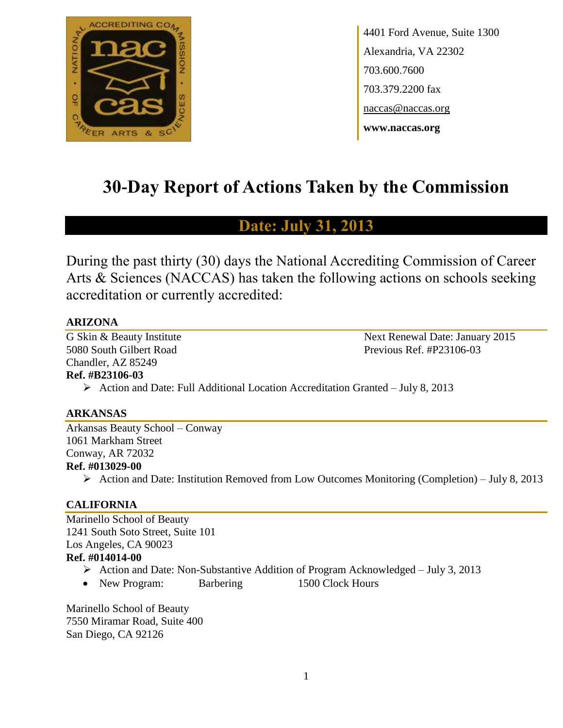

4401 Ford Avenue, Suite 1300 Alexandria, VA 22302 703.600.7600 703.379.2200 fax naccas@naccas.org **www.naccas.org**

# **30-Day Report of Actions Taken by the Commission**

## **Date: July 31, 2013**

During the past thirty (30) days the National Accrediting Commission of Career Arts & Sciences (NACCAS) has taken the following actions on schools seeking accreditation or currently accredited:

## **ARIZONA**

5080 South Gilbert Road Previous Ref. #P23106-03 Chandler, AZ 85249

G Skin & Beauty Institute Next Renewal Date: January 2015

## **Ref. #B23106-03**

 $\triangleright$  Action and Date: Full Additional Location Accreditation Granted – July 8, 2013

#### **ARKANSAS**

Arkansas Beauty School – Conway 1061 Markham Street Conway, AR 72032 **Ref. #013029-00**

Action and Date: Institution Removed from Low Outcomes Monitoring (Completion) – July 8, 2013

## **CALIFORNIA**

Marinello School of Beauty 1241 South Soto Street, Suite 101 Los Angeles, CA 90023 **Ref. #014014-00**

- Action and Date: Non-Substantive Addition of Program Acknowledged July 3, 2013
- New Program: Barbering 1500 Clock Hours

Marinello School of Beauty 7550 Miramar Road, Suite 400 San Diego, CA 92126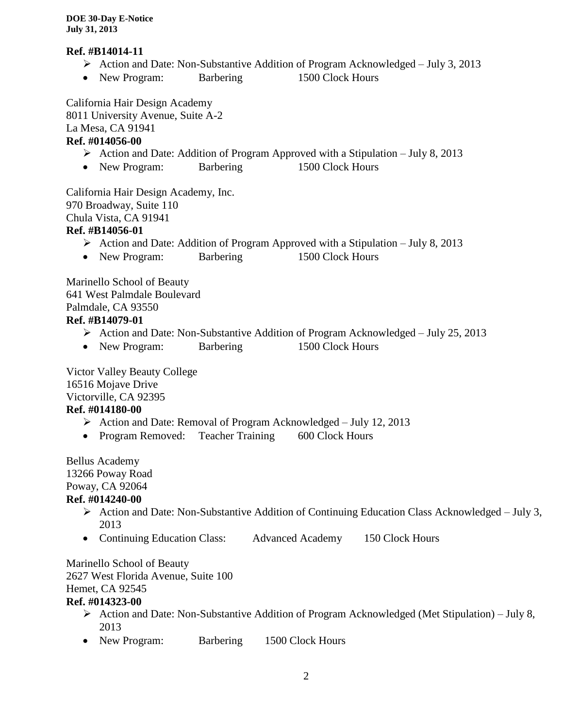#### **Ref. #B14014-11**

- Action and Date: Non-Substantive Addition of Program Acknowledged July 3, 2013
- New Program: Barbering 1500 Clock Hours

California Hair Design Academy

8011 University Avenue, Suite A-2

La Mesa, CA 91941

## **Ref. #014056-00**

- Action and Date: Addition of Program Approved with a Stipulation July 8, 2013
- New Program: Barbering 1500 Clock Hours

California Hair Design Academy, Inc. 970 Broadway, Suite 110 Chula Vista, CA 91941 **Ref. #B14056-01**

- Action and Date: Addition of Program Approved with a Stipulation July 8, 2013
- New Program: Barbering 1500 Clock Hours

Marinello School of Beauty 641 West Palmdale Boulevard Palmdale, CA 93550 **Ref. #B14079-01**

- Action and Date: Non-Substantive Addition of Program Acknowledged July 25, 2013
- New Program: Barbering 1500 Clock Hours

Victor Valley Beauty College 16516 Mojave Drive Victorville, CA 92395

## **Ref. #014180-00**

- Action and Date: Removal of Program Acknowledged July 12, 2013
- Program Removed: Teacher Training 600 Clock Hours

Bellus Academy 13266 Poway Road Poway, CA 92064

## **Ref. #014240-00**

- $\triangleright$  Action and Date: Non-Substantive Addition of Continuing Education Class Acknowledged July 3, 2013
- Continuing Education Class: Advanced Academy 150 Clock Hours

Marinello School of Beauty 2627 West Florida Avenue, Suite 100 Hemet, CA 92545 **Ref. #014323-00**

- Action and Date: Non-Substantive Addition of Program Acknowledged (Met Stipulation) July 8, 2013
- New Program: Barbering 1500 Clock Hours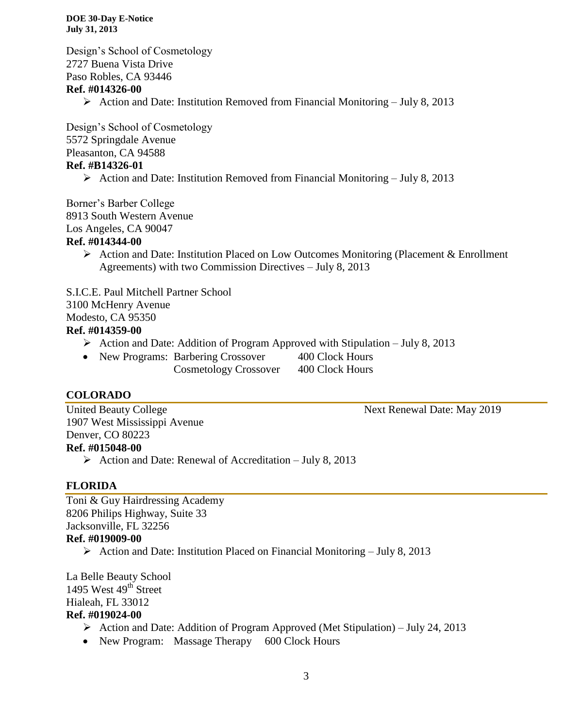Design's School of Cosmetology 2727 Buena Vista Drive Paso Robles, CA 93446 **Ref. #014326-00**

Action and Date: Institution Removed from Financial Monitoring – July 8, 2013

Design's School of Cosmetology 5572 Springdale Avenue Pleasanton, CA 94588 **Ref. #B14326-01**

 $\triangleright$  Action and Date: Institution Removed from Financial Monitoring – July 8, 2013

Borner's Barber College 8913 South Western Avenue Los Angeles, CA 90047

#### **Ref. #014344-00**

 $\triangleright$  Action and Date: Institution Placed on Low Outcomes Monitoring (Placement & Enrollment Agreements) with two Commission Directives – July 8, 2013

S.I.C.E. Paul Mitchell Partner School 3100 McHenry Avenue Modesto, CA 95350

#### **Ref. #014359-00**

- Action and Date: Addition of Program Approved with Stipulation July 8, 2013
- New Programs: Barbering Crossover 400 Clock Hours Cosmetology Crossover 400 Clock Hours

#### **COLORADO**

United Beauty College Next Renewal Date: May 2019 1907 West Mississippi Avenue Denver, CO 80223 **Ref. #015048-00**

 $\triangleright$  Action and Date: Renewal of Accreditation – July 8, 2013

#### **FLORIDA**

Toni & Guy Hairdressing Academy 8206 Philips Highway, Suite 33 Jacksonville, FL 32256

#### **Ref. #019009-00**

Action and Date: Institution Placed on Financial Monitoring – July 8, 2013

La Belle Beauty School 1495 West  $49<sup>th</sup>$  Street Hialeah, FL 33012 **Ref. #019024-00**

- Action and Date: Addition of Program Approved (Met Stipulation) July 24, 2013
- New Program: Massage Therapy 600 Clock Hours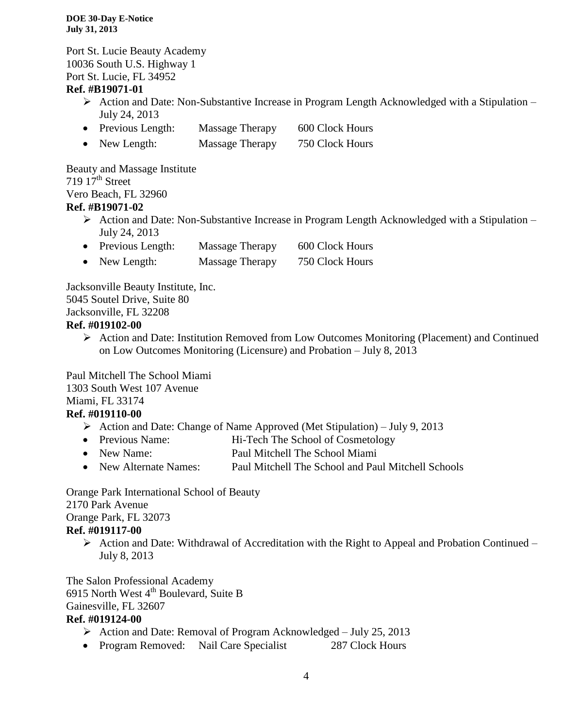Port St. Lucie Beauty Academy 10036 South U.S. Highway 1 Port St. Lucie, FL 34952

#### **Ref. #B19071-01**

- $\triangleright$  Action and Date: Non-Substantive Increase in Program Length Acknowledged with a Stipulation July 24, 2013
- Previous Length: Massage Therapy 600 Clock Hours
- New Length: Massage Therapy 750 Clock Hours

Beauty and Massage Institute 719  $17<sup>th</sup>$  Street Vero Beach, FL 32960 **Ref. #B19071-02**

- $\triangleright$  Action and Date: Non-Substantive Increase in Program Length Acknowledged with a Stipulation July 24, 2013
- Previous Length: Massage Therapy 600 Clock Hours
- New Length: Massage Therapy 750 Clock Hours

Jacksonville Beauty Institute, Inc. 5045 Soutel Drive, Suite 80 Jacksonville, FL 32208

#### **Ref. #019102-00**

 Action and Date: Institution Removed from Low Outcomes Monitoring (Placement) and Continued on Low Outcomes Monitoring (Licensure) and Probation – July 8, 2013

Paul Mitchell The School Miami 1303 South West 107 Avenue Miami, FL 33174

## **Ref. #019110-00**

- Action and Date: Change of Name Approved (Met Stipulation) July 9, 2013
- Previous Name: Hi-Tech The School of Cosmetology
- New Name: Paul Mitchell The School Miami
- New Alternate Names: Paul Mitchell The School and Paul Mitchell Schools

Orange Park International School of Beauty

#### 2170 Park Avenue

Orange Park, FL 32073

#### **Ref. #019117-00**

 $\triangleright$  Action and Date: Withdrawal of Accreditation with the Right to Appeal and Probation Continued – July 8, 2013

The Salon Professional Academy 6915 North West  $4<sup>th</sup>$  Boulevard, Suite B Gainesville, FL 32607

#### **Ref. #019124-00**

- Action and Date: Removal of Program Acknowledged July 25, 2013
- Program Removed: Nail Care Specialist 287 Clock Hours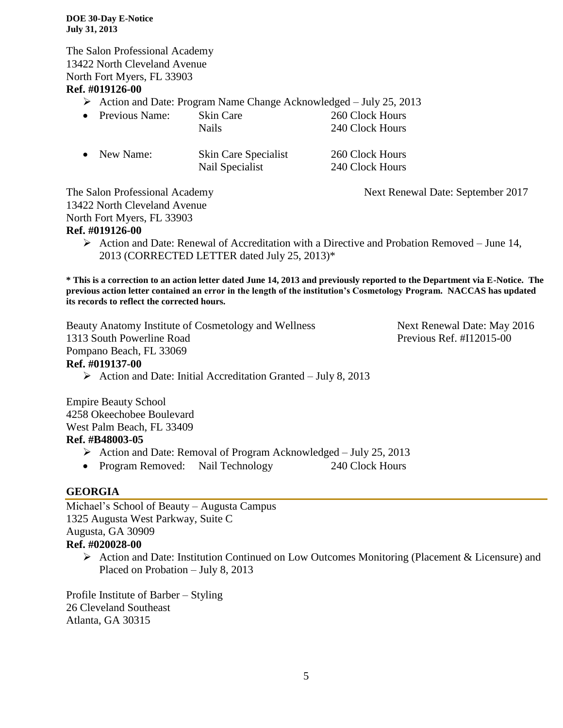The Salon Professional Academy 13422 North Cleveland Avenue North Fort Myers, FL 33903 **Ref. #019126-00**

 $\triangleright$  Action and Date: Program Name Change Acknowledged – July 25, 2013

• Previous Name: Skin Care 260 Clock Hours Nails 240 Clock Hours

| $\bullet$ | New Name: | Skin Care Specialist | 260 Clock Hours |
|-----------|-----------|----------------------|-----------------|
|           |           | Nail Specialist      | 240 Clock Hours |

The Salon Professional Academy Next Renewal Date: September 2017

13422 North Cleveland Avenue

North Fort Myers, FL 33903

#### **Ref. #019126-00**

 $\triangleright$  Action and Date: Renewal of Accreditation with a Directive and Probation Removed – June 14, 2013 (CORRECTED LETTER dated July 25, 2013)\*

**\* This is a correction to an action letter dated June 14, 2013 and previously reported to the Department via E-Notice. The previous action letter contained an error in the length of the institution's Cosmetology Program. NACCAS has updated its records to reflect the corrected hours.** 

Beauty Anatomy Institute of Cosmetology and Wellness Next Renewal Date: May 2016 1313 South Powerline Road Previous Ref. #I12015-00 Pompano Beach, FL 33069

### **Ref. #019137-00**

 $\triangleright$  Action and Date: Initial Accreditation Granted – July 8, 2013

Empire Beauty School 4258 Okeechobee Boulevard West Palm Beach, FL 33409 **Ref. #B48003-05**

- $\triangleright$  Action and Date: Removal of Program Acknowledged July 25, 2013
- Program Removed: Nail Technology 240 Clock Hours

## **GEORGIA**

Michael's School of Beauty – Augusta Campus 1325 Augusta West Parkway, Suite C Augusta, GA 30909 **Ref. #020028-00**

 Action and Date: Institution Continued on Low Outcomes Monitoring (Placement & Licensure) and Placed on Probation – July 8, 2013

Profile Institute of Barber – Styling 26 Cleveland Southeast Atlanta, GA 30315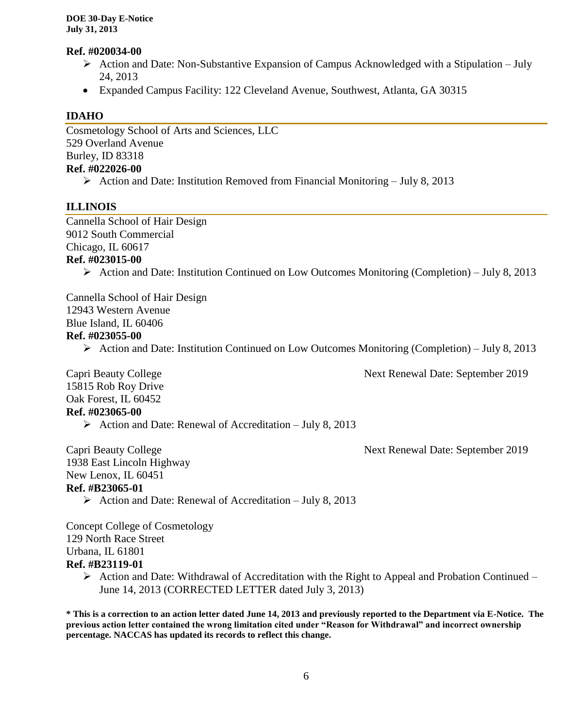#### **Ref. #020034-00**

- $\triangleright$  Action and Date: Non-Substantive Expansion of Campus Acknowledged with a Stipulation July 24, 2013
- Expanded Campus Facility: 122 Cleveland Avenue, Southwest, Atlanta, GA 30315

#### **IDAHO**

Cosmetology School of Arts and Sciences, LLC 529 Overland Avenue Burley, ID 83318 **Ref. #022026-00**

 $\triangleright$  Action and Date: Institution Removed from Financial Monitoring – July 8, 2013

### **ILLINOIS**

Cannella School of Hair Design 9012 South Commercial Chicago, IL 60617 **Ref. #023015-00**

 $\triangleright$  Action and Date: Institution Continued on Low Outcomes Monitoring (Completion) – July 8, 2013

Cannella School of Hair Design 12943 Western Avenue Blue Island, IL 60406 **Ref. #023055-00**

Action and Date: Institution Continued on Low Outcomes Monitoring (Completion) – July 8, 2013

Capri Beauty College Next Renewal Date: September 2019

15815 Rob Roy Drive Oak Forest, IL 60452 **Ref. #023065-00**

 $\triangleright$  Action and Date: Renewal of Accreditation – July 8, 2013

Capri Beauty College Next Renewal Date: September 2019

1938 East Lincoln Highway New Lenox, IL 60451 **Ref. #B23065-01**

 $\triangleright$  Action and Date: Renewal of Accreditation – July 8, 2013

Concept College of Cosmetology 129 North Race Street Urbana, IL 61801 **Ref. #B23119-01**

> $\triangleright$  Action and Date: Withdrawal of Accreditation with the Right to Appeal and Probation Continued – June 14, 2013 (CORRECTED LETTER dated July 3, 2013)

**\* This is a correction to an action letter dated June 14, 2013 and previously reported to the Department via E-Notice. The previous action letter contained the wrong limitation cited under "Reason for Withdrawal" and incorrect ownership percentage. NACCAS has updated its records to reflect this change.**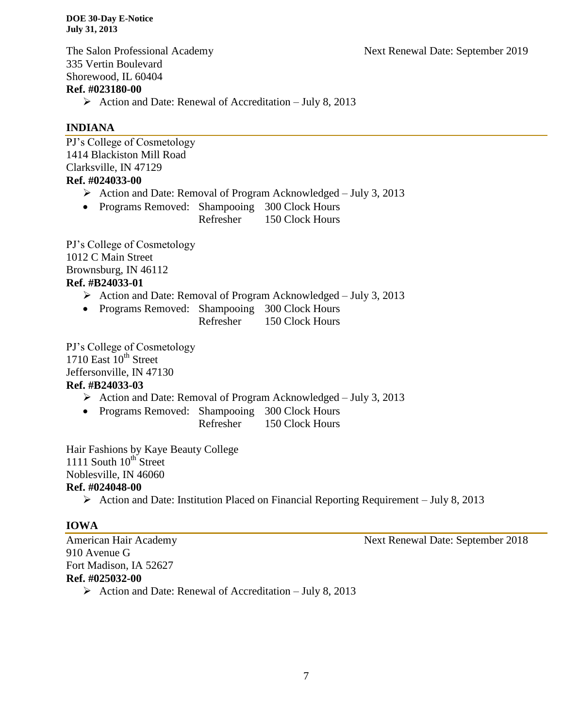The Salon Professional Academy Next Renewal Date: September 2019 335 Vertin Boulevard Shorewood, IL 60404 **Ref. #023180-00**

Action and Date: Renewal of Accreditation – July 8, 2013

## **INDIANA**

PJ's College of Cosmetology 1414 Blackiston Mill Road Clarksville, IN 47129 **Ref. #024033-00**

- $\triangleright$  Action and Date: Removal of Program Acknowledged July 3, 2013
- Programs Removed: Shampooing 300 Clock Hours

Refresher 150 Clock Hours

PJ's College of Cosmetology 1012 C Main Street Brownsburg, IN 46112 **Ref. #B24033-01**

- Action and Date: Removal of Program Acknowledged July 3, 2013
- Programs Removed: Shampooing 300 Clock Hours
	- Refresher 150 Clock Hours

PJ's College of Cosmetology 1710 East 10<sup>th</sup> Street Jeffersonville, IN 47130

## **Ref. #B24033-03**

- Action and Date: Removal of Program Acknowledged July 3, 2013
- Programs Removed: Shampooing 300 Clock Hours Refresher 150 Clock Hours

Hair Fashions by Kaye Beauty College 1111 South  $10^{th}$  Street Noblesville, IN 46060 **Ref. #024048-00**

 $\triangleright$  Action and Date: Institution Placed on Financial Reporting Requirement – July 8, 2013

## **IOWA**

American Hair Academy Next Renewal Date: September 2018 910 Avenue G Fort Madison, IA 52627 **Ref. #025032-00** Action and Date: Renewal of Accreditation – July 8, 2013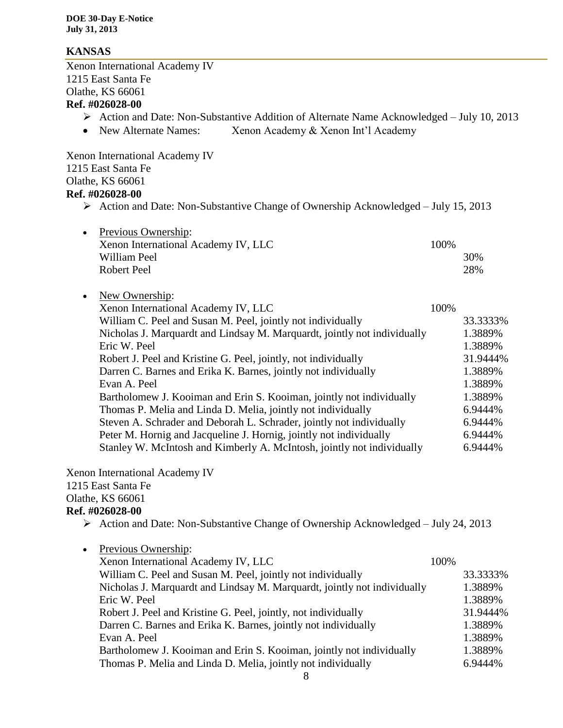### **KANSAS**

Xenon International Academy IV 1215 East Santa Fe Olathe, KS 66061 **Ref. #026028-00**

- Action and Date: Non-Substantive Addition of Alternate Name Acknowledged July 10, 2013
- New Alternate Names: Xenon Academy & Xenon Int'l Academy

Xenon International Academy IV 1215 East Santa Fe Olathe, KS 66061 **Ref. #026028-00**

 $\triangleright$  Action and Date: Non-Substantive Change of Ownership Acknowledged – July 15, 2013

| • Previous Ownership:               |       |
|-------------------------------------|-------|
| Xenon International Academy IV, LLC | 100\% |
| William Peel                        | 30%   |
| Robert Peel                         | 28%   |
|                                     |       |

• New Ownership: Xenon International Academy IV, LLC 100% William C. Peel and Susan M. Peel, jointly not individually 33.3333% Nicholas J. Marquardt and Lindsay M. Marquardt, jointly not individually 1.3889% Eric W. Peel 1.3889% Robert J. Peel and Kristine G. Peel, jointly, not individually 31.9444% Darren C. Barnes and Erika K. Barnes, jointly not individually 1.3889% Evan A. Peel 1.3889% Bartholomew J. Kooiman and Erin S. Kooiman, jointly not individually 1.3889% Thomas P. Melia and Linda D. Melia, jointly not individually 6.9444% Steven A. Schrader and Deborah L. Schrader, jointly not individually 6.9444% Peter M. Hornig and Jacqueline J. Hornig, jointly not individually 6.9444% Stanley W. McIntosh and Kimberly A. McIntosh, jointly not individually 6.9444%

Xenon International Academy IV 1215 East Santa Fe Olathe, KS 66061

## **Ref. #026028-00**

 $\triangleright$  Action and Date: Non-Substantive Change of Ownership Acknowledged – July 24, 2013

| $\bullet$ | Previous Ownership:                                                      |      |          |
|-----------|--------------------------------------------------------------------------|------|----------|
|           | Xenon International Academy IV, LLC                                      | 100% |          |
|           | William C. Peel and Susan M. Peel, jointly not individually              |      | 33.3333% |
|           | Nicholas J. Marquardt and Lindsay M. Marquardt, jointly not individually |      | 1.3889%  |
|           | Eric W. Peel                                                             |      | 1.3889%  |
|           | Robert J. Peel and Kristine G. Peel, jointly, not individually           |      | 31.9444% |
|           | Darren C. Barnes and Erika K. Barnes, jointly not individually           |      | 1.3889%  |
|           | Evan A. Peel                                                             |      | 1.3889%  |
|           | Bartholomew J. Kooiman and Erin S. Kooiman, jointly not individually     |      | 1.3889%  |
|           | Thomas P. Melia and Linda D. Melia, jointly not individually             |      | 6.9444%  |
|           |                                                                          |      |          |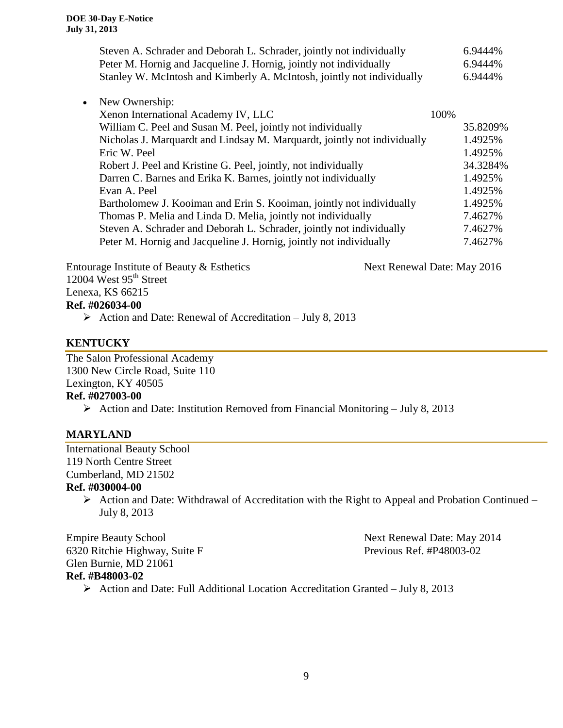|           | Steven A. Schrader and Deborah L. Schrader, jointly not individually     |       | 6.9444%  |
|-----------|--------------------------------------------------------------------------|-------|----------|
|           | Peter M. Hornig and Jacqueline J. Hornig, jointly not individually       |       | 6.9444%  |
|           | Stanley W. McIntosh and Kimberly A. McIntosh, jointly not individually   |       | 6.9444%  |
| $\bullet$ | New Ownership:                                                           |       |          |
|           | Xenon International Academy IV, LLC                                      | 100\% |          |
|           | William C. Peel and Susan M. Peel, jointly not individually              |       | 35.8209% |
|           | Nicholas J. Marquardt and Lindsay M. Marquardt, jointly not individually |       | 1.4925%  |
|           | Eric W. Peel                                                             |       | 1.4925%  |
|           | Robert J. Peel and Kristine G. Peel, jointly, not individually           |       | 34.3284% |
|           | Darren C. Barnes and Erika K. Barnes, jointly not individually           |       | 1.4925%  |
|           | Evan A. Peel                                                             |       | 1.4925%  |
|           | Bartholomew J. Kooiman and Erin S. Kooiman, jointly not individually     |       | 1.4925%  |
|           | Thomas P. Melia and Linda D. Melia, jointly not individually             |       | 7.4627%  |
|           | Steven A. Schrader and Deborah L. Schrader, jointly not individually     |       | 7.4627%  |
|           | Peter M. Hornig and Jacqueline J. Hornig, jointly not individually       |       | 7.4627%  |
|           |                                                                          |       |          |
|           |                                                                          |       |          |

Entourage Institute of Beauty & Esthetics Next Renewal Date: May 2016 12004 West 95<sup>th</sup> Street Lenexa, KS 66215

## **Ref. #026034-00**

Action and Date: Renewal of Accreditation – July 8, 2013

## **KENTUCKY**

The Salon Professional Academy 1300 New Circle Road, Suite 110 Lexington, KY 40505 **Ref. #027003-00**

Action and Date: Institution Removed from Financial Monitoring – July 8, 2013

## **MARYLAND**

International Beauty School 119 North Centre Street Cumberland, MD 21502 **Ref. #030004-00**

> $\triangleright$  Action and Date: Withdrawal of Accreditation with the Right to Appeal and Probation Continued – July 8, 2013

Empire Beauty School Next Renewal Date: May 2014 Frevious Ref. #P48003-02<br>6320 Ritchie Highway, Suite F Previous Ref. #P48003-02 Glen Burnie, MD 21061 **Ref. #B48003-02**

Action and Date: Full Additional Location Accreditation Granted – July 8, 2013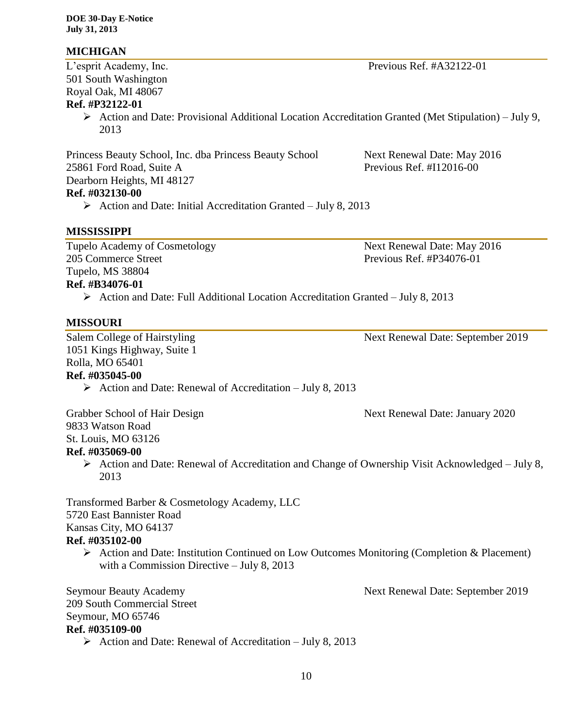### **MICHIGAN**

501 South Washington Royal Oak, MI 48067 **Ref. #P32122-01**

> $\triangleright$  Action and Date: Provisional Additional Location Accreditation Granted (Met Stipulation) – July 9, 2013

Princess Beauty School, Inc. dba Princess Beauty School Next Renewal Date: May 2016 25861 Ford Road, Suite A Previous Ref. #I12016-00 Dearborn Heights, MI 48127 **Ref. #032130-00**

 $\triangleright$  Action and Date: Initial Accreditation Granted – July 8, 2013

#### **MISSISSIPPI**

Tupelo Academy of Cosmetology Next Renewal Date: May 2016 205 Commerce Street Previous Ref. #P34076-01 Tupelo, MS 38804 **Ref. #B34076-01**

 $\triangleright$  Action and Date: Full Additional Location Accreditation Granted – July 8, 2013

#### **MISSOURI**

Salem College of Hairstyling Next Renewal Date: September 2019 1051 Kings Highway, Suite 1 Rolla, MO 65401 **Ref. #035045-00**

Action and Date: Renewal of Accreditation – July 8, 2013

9833 Watson Road St. Louis, MO 63126 **Ref. #035069-00**

 $\triangleright$  Action and Date: Renewal of Accreditation and Change of Ownership Visit Acknowledged – July 8, 2013

Transformed Barber & Cosmetology Academy, LLC 5720 East Bannister Road Kansas City, MO 64137 **Ref. #035102-00**

- - $\triangleright$  Action and Date: Institution Continued on Low Outcomes Monitoring (Completion & Placement) with a Commission Directive – July 8, 2013

Seymour Beauty Academy **Next Renewal Date: September 2019** 209 South Commercial Street Seymour, MO 65746 **Ref. #035109-00**

Action and Date: Renewal of Accreditation – July 8, 2013

10

Grabber School of Hair Design Next Renewal Date: January 2020

L'esprit Academy, Inc. Previous Ref. #A32122-01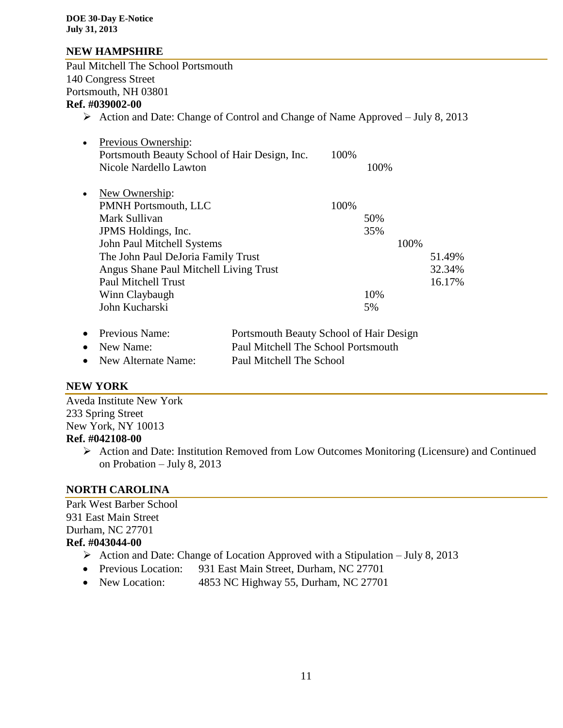### **NEW HAMPSHIRE**

Paul Mitchell The School Portsmouth 140 Congress Street Portsmouth, NH 03801 **Ref. #039002-00**  $\triangleright$  Action and Date: Change of Control and Change of Name Approved – July 8, 2013

| $\bullet$ | Previous Ownership:                           |      |      |      |        |
|-----------|-----------------------------------------------|------|------|------|--------|
|           | Portsmouth Beauty School of Hair Design, Inc. | 100% |      |      |        |
|           | Nicole Nardello Lawton                        |      | 100% |      |        |
| $\bullet$ | New Ownership:                                |      |      |      |        |
|           | <b>PMNH Portsmouth, LLC</b>                   | 100% |      |      |        |
|           | Mark Sullivan                                 |      | 50%  |      |        |
|           | JPMS Holdings, Inc.                           |      | 35%  |      |        |
|           | John Paul Mitchell Systems                    |      |      | 100% |        |
|           | The John Paul DeJoria Family Trust            |      |      |      | 51.49% |
|           | Angus Shane Paul Mitchell Living Trust        |      |      |      | 32.34% |
|           | Paul Mitchell Trust                           |      |      |      | 16.17% |
|           | Winn Claybaugh                                |      | 10%  |      |        |
|           | John Kucharski                                |      | 5%   |      |        |
|           |                                               |      |      |      |        |

| • Previous Name:      | Portsmouth Beauty School of Hair Design |
|-----------------------|-----------------------------------------|
| $\bullet$ New Name:   | Paul Mitchell The School Portsmouth     |
| • New Alternate Name: | Paul Mitchell The School                |

#### **NEW YORK**

Aveda Institute New York 233 Spring Street New York, NY 10013 **Ref. #042108-00**

> Action and Date: Institution Removed from Low Outcomes Monitoring (Licensure) and Continued on Probation – July 8, 2013

## **NORTH CAROLINA**

Park West Barber School 931 East Main Street Durham, NC 27701 **Ref. #043044-00**

- Action and Date: Change of Location Approved with a Stipulation July 8, 2013
- Previous Location: 931 East Main Street, Durham, NC 27701
- New Location: 4853 NC Highway 55, Durham, NC 27701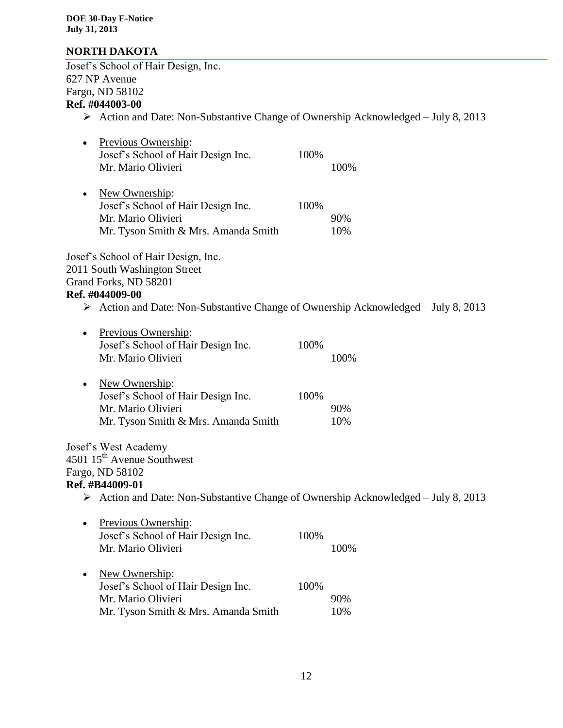## **NORTH DAKOTA**

Josef's School of Hair Design, Inc. 627 NP Avenue Fargo, ND 58102 **Ref. #044003-00**

## Action and Date: Non-Substantive Change of Ownership Acknowledged – July 8, 2013

| Previous Ownership:<br>Josef's School of Hair Design Inc.<br>Mr. Mario Olivieri                                                                                                                                      | 100% | 100%       |
|----------------------------------------------------------------------------------------------------------------------------------------------------------------------------------------------------------------------|------|------------|
| New Ownership:<br>Josef's School of Hair Design Inc.<br>Mr. Mario Olivieri<br>Mr. Tyson Smith & Mrs. Amanda Smith                                                                                                    | 100% | 90%<br>10% |
| Josef's School of Hair Design, Inc.<br>2011 South Washington Street<br>Grand Forks, ND 58201<br>Ref. #044009-00<br>$\triangleright$ Action and Date: Non-Substantive Change of Ownership Acknowledged – July 8, 2013 |      |            |
|                                                                                                                                                                                                                      |      |            |
| Previous Ownership:<br>Josef's School of Hair Design Inc.<br>Mr. Mario Olivieri                                                                                                                                      | 100% | 100%       |
| New Ownership:<br>Josef's School of Hair Design Inc.<br>Mr. Mario Olivieri<br>Mr. Tyson Smith & Mrs. Amanda Smith                                                                                                    | 100% | 90%<br>10% |
| Josef's West Academy<br>4501 15 <sup>th</sup> Avenue Southwest<br>Fargo, ND 58102                                                                                                                                    |      |            |
| Ref. #B44009-01                                                                                                                                                                                                      |      |            |
| $\triangleright$ Action and Date: Non-Substantive Change of Ownership Acknowledged – July 8, 2013                                                                                                                    |      |            |
| Previous Ownership:<br>Josef's School of Hair Design Inc.<br>Mr. Mario Olivieri                                                                                                                                      | 100% | 100%       |
| New Ownership:<br>Josef's School of Hair Design Inc.<br>Mr. Mario Olivieri<br>Mr. Tyson Smith & Mrs. Amanda Smith                                                                                                    | 100% | 90%<br>10% |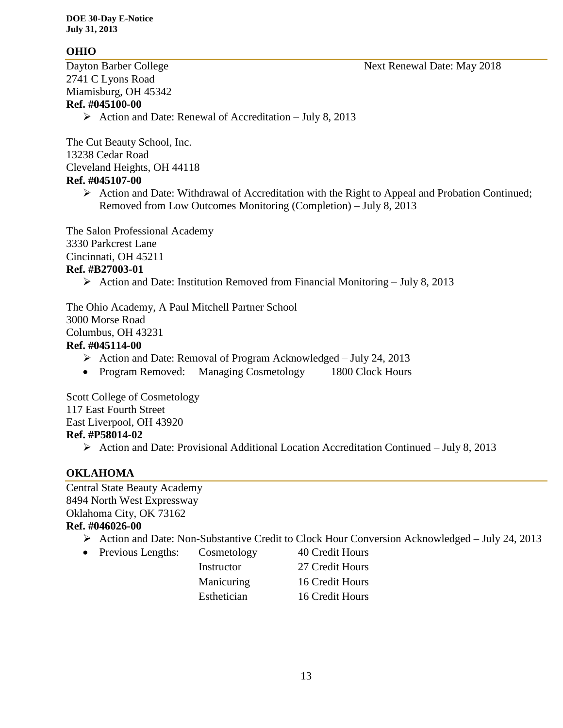## **OHIO**

2741 C Lyons Road Miamisburg, OH 45342 **Ref. #045100-00**

 $\triangleright$  Action and Date: Renewal of Accreditation – July 8, 2013

The Cut Beauty School, Inc. 13238 Cedar Road Cleveland Heights, OH 44118 **Ref. #045107-00**

> $\triangleright$  Action and Date: Withdrawal of Accreditation with the Right to Appeal and Probation Continued; Removed from Low Outcomes Monitoring (Completion) – July 8, 2013

The Salon Professional Academy 3330 Parkcrest Lane Cincinnati, OH 45211 **Ref. #B27003-01**

Action and Date: Institution Removed from Financial Monitoring – July 8, 2013

The Ohio Academy, A Paul Mitchell Partner School 3000 Morse Road Columbus, OH 43231 **Ref. #045114-00**

- $\triangleright$  Action and Date: Removal of Program Acknowledged July 24, 2013
- Program Removed: Managing Cosmetology 1800 Clock Hours

Scott College of Cosmetology 117 East Fourth Street East Liverpool, OH 43920 **Ref. #P58014-02**

 $\triangleright$  Action and Date: Provisional Additional Location Accreditation Continued – July 8, 2013

## **OKLAHOMA**

Central State Beauty Academy 8494 North West Expressway Oklahoma City, OK 73162 **Ref. #046026-00**

- Action and Date: Non-Substantive Credit to Clock Hour Conversion Acknowledged July 24, 2013
- Previous Lengths: Cosmetology 40 Credit Hours

Instructor 27 Credit Hours Manicuring 16 Credit Hours Esthetician 16 Credit Hours

Dayton Barber College Next Renewal Date: May 2018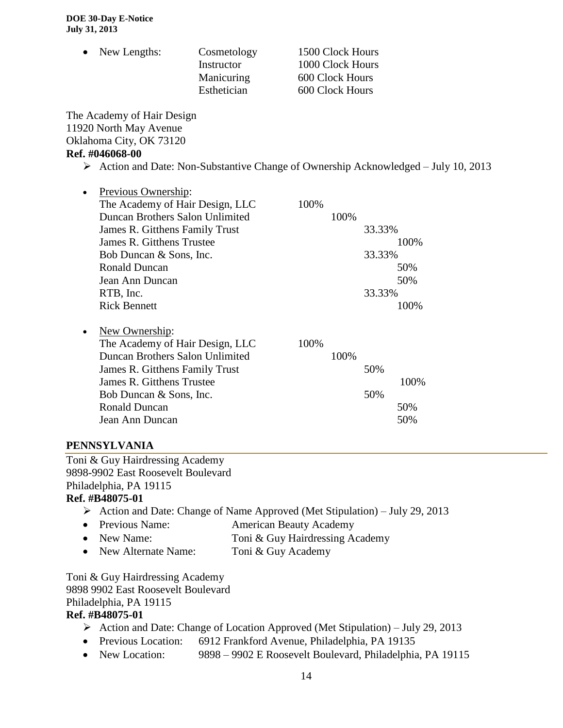| $\bullet$ New Lengths: | Cosmetology<br>Instructor<br>Manicuring<br>Esthetician | 1500 Clock Hours<br>1000 Clock Hours<br>600 Clock Hours<br>600 Clock Hours |
|------------------------|--------------------------------------------------------|----------------------------------------------------------------------------|
|                        |                                                        |                                                                            |

The Academy of Hair Design 11920 North May Avenue Oklahoma City, OK 73120 **Ref. #046068-00**

 $\triangleright$  Action and Date: Non-Substantive Change of Ownership Acknowledged – July 10, 2013

| $\bullet$ | Previous Ownership:             |      |      |        |
|-----------|---------------------------------|------|------|--------|
|           | The Academy of Hair Design, LLC | 100% |      |        |
|           | Duncan Brothers Salon Unlimited |      | 100% |        |
|           | James R. Gitthens Family Trust  |      |      | 33.33% |
|           | James R. Gitthens Trustee       |      |      | 100%   |
|           | Bob Duncan & Sons, Inc.         |      |      | 33.33% |
|           | <b>Ronald Duncan</b>            |      |      | 50%    |
|           | Jean Ann Duncan                 |      |      | 50%    |
|           | RTB, Inc.                       |      |      | 33.33% |
|           | <b>Rick Bennett</b>             |      |      | 100%   |
|           |                                 |      |      |        |
| $\bullet$ | New Ownership:                  |      |      |        |

The Academy of Hair Design, LLC 100% Duncan Brothers Salon Unlimited 100% James R. Gitthens Family Trust 50% James R. Gitthens Trustee 100% Bob Duncan & Sons, Inc. 50% Ronald Duncan 50% Jean Ann Duncan 50%

## **PENNSYLVANIA**

Toni & Guy Hairdressing Academy 9898-9902 East Roosevelt Boulevard Philadelphia, PA 19115 **Ref. #B48075-01**

- $\triangleright$  Action and Date: Change of Name Approved (Met Stipulation) July 29, 2013
- Previous Name: American Beauty Academy
- New Name: Toni & Guy Hairdressing Academy
- New Alternate Name: Toni & Guy Academy

Toni & Guy Hairdressing Academy 9898 9902 East Roosevelt Boulevard Philadelphia, PA 19115

#### **Ref. #B48075-01**

- Action and Date: Change of Location Approved (Met Stipulation) July 29, 2013
- Previous Location: 6912 Frankford Avenue, Philadelphia, PA 19135
- New Location: 9898 9902 E Roosevelt Boulevard, Philadelphia, PA 19115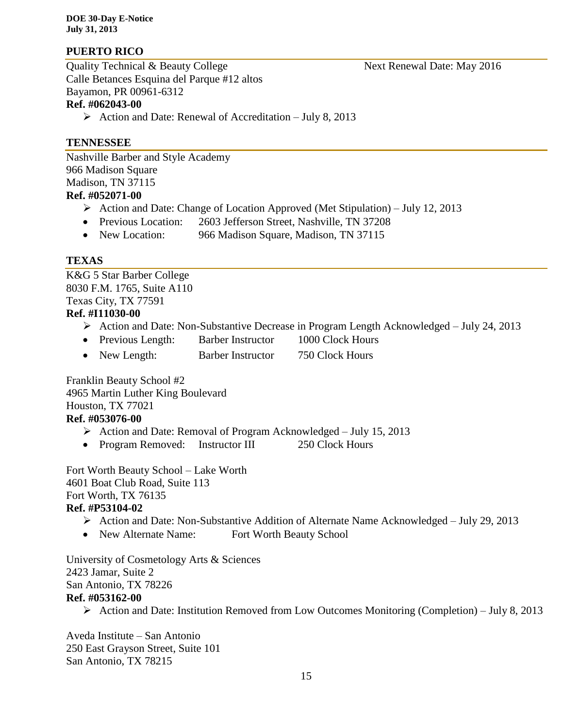## **PUERTO RICO**

Quality Technical & Beauty College Next Renewal Date: May 2016 Calle Betances Esquina del Parque #12 altos Bayamon, PR 00961-6312

## **Ref. #062043-00**

 $\triangleright$  Action and Date: Renewal of Accreditation – July 8, 2013

### **TENNESSEE**

Nashville Barber and Style Academy 966 Madison Square Madison, TN 37115 **Ref. #052071-00**

- Action and Date: Change of Location Approved (Met Stipulation) July 12, 2013
- Previous Location: 2603 Jefferson Street, Nashville, TN 37208
- New Location: 966 Madison Square, Madison, TN 37115

### **TEXAS**

K&G 5 Star Barber College 8030 F.M. 1765, Suite A110 Texas City, TX 77591 **Ref. #I11030-00**

- Action and Date: Non-Substantive Decrease in Program Length Acknowledged July 24, 2013
- Previous Length: Barber Instructor 1000 Clock Hours
- New Length: Barber Instructor 750 Clock Hours

Franklin Beauty School #2 4965 Martin Luther King Boulevard Houston, TX 77021

## **Ref. #053076-00**

- $\triangleright$  Action and Date: Removal of Program Acknowledged July 15, 2013
- Program Removed: Instructor III 250 Clock Hours

Fort Worth Beauty School – Lake Worth 4601 Boat Club Road, Suite 113 Fort Worth, TX 76135 **Ref. #P53104-02**

- Action and Date: Non-Substantive Addition of Alternate Name Acknowledged July 29, 2013
- New Alternate Name: Fort Worth Beauty School

University of Cosmetology Arts & Sciences 2423 Jamar, Suite 2 San Antonio, TX 78226 **Ref. #053162-00**

Action and Date: Institution Removed from Low Outcomes Monitoring (Completion) – July 8, 2013

Aveda Institute – San Antonio 250 East Grayson Street, Suite 101 San Antonio, TX 78215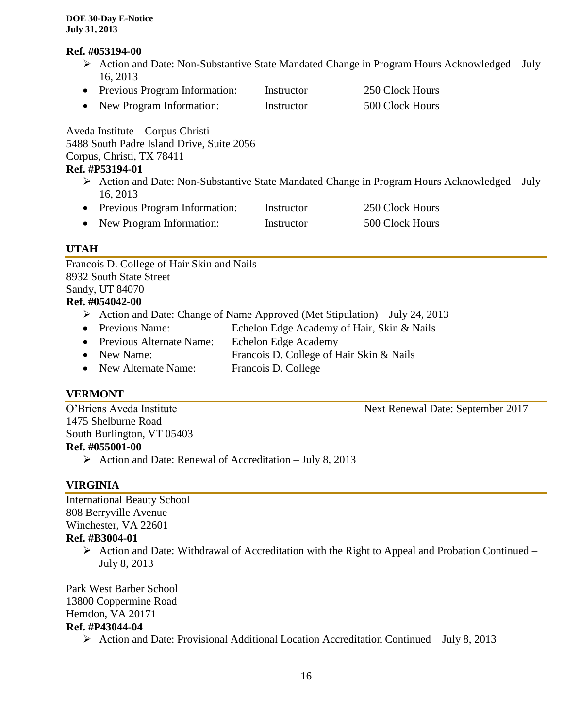#### **Ref. #053194-00**

- Action and Date: Non-Substantive State Mandated Change in Program Hours Acknowledged July 16, 2013
- Previous Program Information: Instructor 250 Clock Hours • New Program Information: Instructor 500 Clock Hours

Aveda Institute – Corpus Christi

5488 South Padre Island Drive, Suite 2056

Corpus, Christi, TX 78411

## **Ref. #P53194-01**

- Action and Date: Non-Substantive State Mandated Change in Program Hours Acknowledged July 16, 2013
- Previous Program Information: Instructor 250 Clock Hours • New Program Information: Instructor 500 Clock Hours

## **UTAH**

Francois D. College of Hair Skin and Nails 8932 South State Street Sandy, UT 84070 **Ref. #054042-00** Action and Date: Change of Name Approved (Met Stipulation) – July 24, 2013 • Previous Name: Echelon Edge Academy of Hair, Skin & Nails • Previous Alternate Name: Echelon Edge Academy • New Name: Francois D. College of Hair Skin & Nails • New Alternate Name: Francois D. College

## **VERMONT**

O'Briens Aveda Institute Next Renewal Date: September 2017 1475 Shelburne Road South Burlington, VT 05403 **Ref. #055001-00**

Action and Date: Renewal of Accreditation – July 8, 2013

## **VIRGINIA**

International Beauty School 808 Berryville Avenue Winchester, VA 22601

## **Ref. #B3004-01**

 $\triangleright$  Action and Date: Withdrawal of Accreditation with the Right to Appeal and Probation Continued – July 8, 2013

Park West Barber School 13800 Coppermine Road Herndon, VA 20171 **Ref. #P43044-04**

 $\triangleright$  Action and Date: Provisional Additional Location Accreditation Continued – July 8, 2013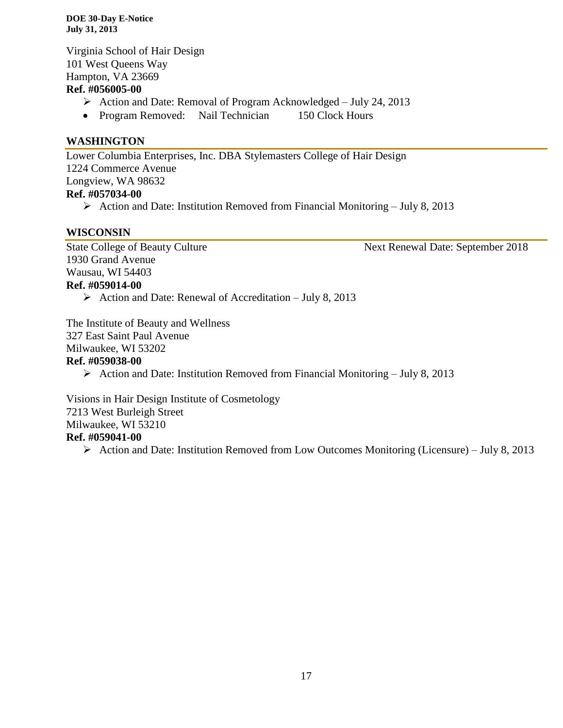Virginia School of Hair Design 101 West Queens Way Hampton, VA 23669 **Ref. #056005-00**

- Action and Date: Removal of Program Acknowledged July 24, 2013
- Program Removed: Nail Technician 150 Clock Hours

#### **WASHINGTON**

Lower Columbia Enterprises, Inc. DBA Stylemasters College of Hair Design 1224 Commerce Avenue Longview, WA 98632 **Ref. #057034-00**

Action and Date: Institution Removed from Financial Monitoring – July 8, 2013

#### **WISCONSIN**

1930 Grand Avenue Wausau, WI 54403 **Ref. #059014-00**

State College of Beauty Culture Next Renewal Date: September 2018

Action and Date: Renewal of Accreditation – July 8, 2013

The Institute of Beauty and Wellness 327 East Saint Paul Avenue Milwaukee, WI 53202

#### **Ref. #059038-00**

 $\triangleright$  Action and Date: Institution Removed from Financial Monitoring – July 8, 2013

Visions in Hair Design Institute of Cosmetology 7213 West Burleigh Street Milwaukee, WI 53210 **Ref. #059041-00**

 $\triangleright$  Action and Date: Institution Removed from Low Outcomes Monitoring (Licensure) – July 8, 2013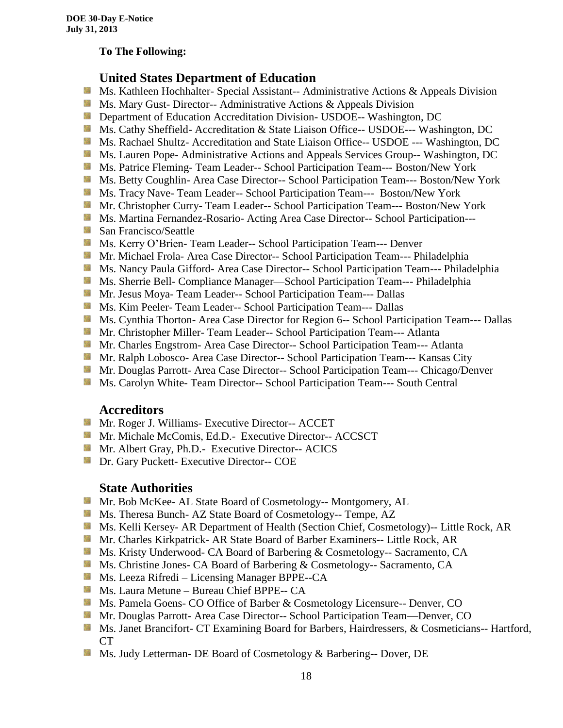#### **To The Following:**

## **United States Department of Education**

- **Ms. Kathleen Hochhalter- Special Assistant-- Administrative Actions & Appeals Division**
- **Ms.** Mary Gust- Director-- Administrative Actions  $\&$  Appeals Division
- **Department of Education Accreditation Division- USDOE-- Washington, DC**
- Ms. Cathy Sheffield- Accreditation & State Liaison Office-- USDOE--- Washington, DC
- **MS. Rachael Shultz- Accreditation and State Liaison Office-- USDOE --- Washington, DC**
- Ms. Lauren Pope- Administrative Actions and Appeals Services Group-- Washington, DC
- Ms. Patrice Fleming-Team Leader-- School Participation Team--- Boston/New York
- **MS. Betty Coughlin- Area Case Director-- School Participation Team--- Boston/New York**
- Ms. Tracy Nave-Team Leader-- School Participation Team--- Boston/New York
- **Mr. Christopher Curry- Team Leader-- School Participation Team--- Boston/New York**
- Ms. Martina Fernandez-Rosario- Acting Area Case Director-- School Participation---
- **San Francisco/Seattle**
- **MS. Kerry O'Brien- Team Leader-- School Participation Team--- Denver**
- **Mr. Michael Frola- Area Case Director-- School Participation Team--- Philadelphia**
- **MS. Nancy Paula Gifford- Area Case Director-- School Participation Team--- Philadelphia**
- Ms. Sherrie Bell- Compliance Manager—School Participation Team--- Philadelphia
- Mr. Jesus Moya- Team Leader-- School Participation Team--- Dallas
- **MS. Kim Peeler- Team Leader-- School Participation Team--- Dallas**
- **Ms. Cynthia Thorton- Area Case Director for Region 6-- School Participation Team--- Dallas**
- **Mr.** Christopher Miller-Team Leader-- School Participation Team--- Atlanta
- **Mr.** Charles Engstrom- Area Case Director-- School Participation Team--- Atlanta
- Mr. Ralph Lobosco- Area Case Director-- School Participation Team--- Kansas City
- **Mr. Douglas Parrott- Area Case Director-- School Participation Team--- Chicago/Denver**
- **MS. Carolyn White-Team Director-- School Participation Team--- South Central**

#### **Accreditors**

- **Mr. Roger J. Williams- Executive Director-- ACCET**
- Mr. Michale McComis, Ed.D.- Executive Director-- ACCSCT
- **Mr.** Albert Gray, Ph.D.- Executive Director-- ACICS
- **Dr.** Gary Puckett- Executive Director-- COE

#### **State Authorities**

- Mr. Bob McKee- AL State Board of Cosmetology-- Montgomery, AL
- Ms. Theresa Bunch- AZ State Board of Cosmetology-- Tempe, AZ
- **Ms. Kelli Kersey- AR Department of Health (Section Chief, Cosmetology)**-- Little Rock, AR
- Mr. Charles Kirkpatrick- AR State Board of Barber Examiners-- Little Rock, AR
- Ms. Kristy Underwood- CA Board of Barbering & Cosmetology-- Sacramento, CA
- Ms. Christine Jones- CA Board of Barbering & Cosmetology-- Sacramento, CA
- **Ms. Leeza Rifredi** Licensing Manager BPPE--CA
- **Ms. Laura Metune Bureau Chief BPPE-- CA**
- **Ms. Pamela Goens- CO Office of Barber & Cosmetology Licensure-- Denver, CO**
- Mr. Douglas Parrott- Area Case Director-- School Participation Team—Denver, CO
- Ms. Janet Brancifort- CT Examining Board for Barbers, Hairdressers, & Cosmeticians-- Hartford, CT
- Ms. Judy Letterman- DE Board of Cosmetology & Barbering-- Dover, DE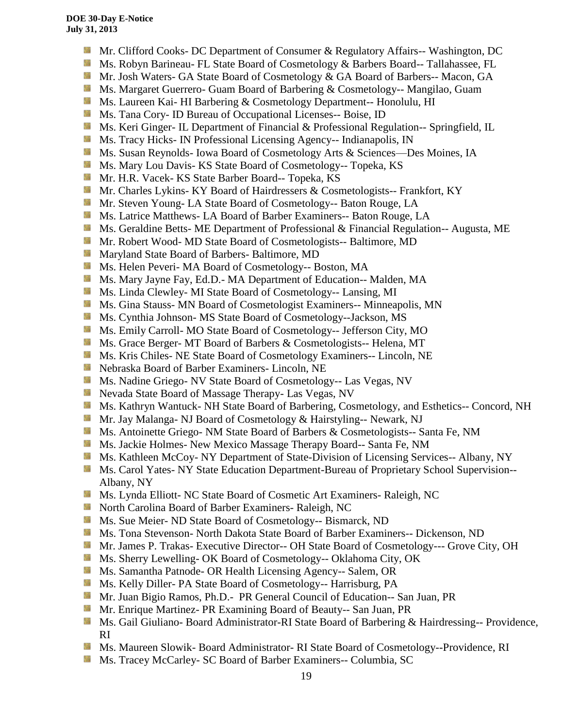- **Mr.** Clifford Cooks- DC Department of Consumer & Regulatory Affairs-- Washington, DC
- Ms. Robyn Barineau- FL State Board of Cosmetology & Barbers Board-- Tallahassee, FL
- Mr. Josh Waters- GA State Board of Cosmetology & GA Board of Barbers-- Macon, GA
- **Ms. Margaret Guerrero- Guam Board of Barbering & Cosmetology-- Mangilao, Guam**
- Ms. Laureen Kai- HI Barbering & Cosmetology Department-- Honolulu, HI
- **Ms.** Tana Cory- ID Bureau of Occupational Licenses-- Boise, ID
- **Ms. Keri Ginger- IL Department of Financial & Professional Regulation-- Springfield, IL**
- **Ms.** Tracy Hicks- IN Professional Licensing Agency-- Indianapolis, IN
- Side. Ms. Susan Reynolds- Iowa Board of Cosmetology Arts & Sciences—Des Moines, IA
- **Ms. Mary Lou Davis- KS State Board of Cosmetology-- Topeka, KS**
- **Mr. H.R. Vacek- KS State Barber Board-- Topeka, KS**
- **Mr. Charles Lykins- KY Board of Hairdressers & Cosmetologists-- Frankfort, KY**
- Mr. Steven Young- LA State Board of Cosmetology-- Baton Rouge, LA
- **Ms. Latrice Matthews- LA Board of Barber Examiners-- Baton Rouge, LA**
- **Ms.** Geraldine Betts- ME Department of Professional & Financial Regulation-- Augusta, ME
- **Mr. Robert Wood- MD State Board of Cosmetologists-- Baltimore, MD**
- **Maryland State Board of Barbers- Baltimore, MD**
- Ms. Helen Peveri- MA Board of Cosmetology-- Boston, MA
- Ms. Mary Jayne Fay, Ed.D.- MA Department of Education-- Malden, MA
- Ms. Linda Clewley- MI State Board of Cosmetology-- Lansing, MI
- **Ms.** Gina Stauss- MN Board of Cosmetologist Examiners-- Minneapolis, MN
- Ms. Cynthia Johnson- MS State Board of Cosmetology--Jackson, MS
- Ms. Emily Carroll- MO State Board of Cosmetology-- Jefferson City, MO
- **Ms.** Grace Berger- MT Board of Barbers & Cosmetologists-- Helena, MT
- **MS.** Kris Chiles- NE State Board of Cosmetology Examiners-- Lincoln, NE
- Nebraska Board of Barber Examiners- Lincoln, NE
- Ms. Nadine Griego- NV State Board of Cosmetology-- Las Vegas, NV
- **Nevada State Board of Massage Therapy- Las Vegas, NV**
- **Ms. Kathryn Wantuck- NH State Board of Barbering, Cosmetology, and Esthetics-- Concord, NH**
- Mr. Jay Malanga- NJ Board of Cosmetology & Hairstyling-- Newark, NJ
- **MS.** Antoinette Griego- NM State Board of Barbers & Cosmetologists-- Santa Fe, NM
- Ms. Jackie Holmes- New Mexico Massage Therapy Board-- Santa Fe, NM
- **Ms. Kathleen McCoy- NY Department of State-Division of Licensing Services-- Albany, NY**
- Ms. Carol Yates- NY State Education Department-Bureau of Proprietary School Supervision--Albany, NY
- Ms. Lynda Elliott- NC State Board of Cosmetic Art Examiners- Raleigh, NC
- **North Carolina Board of Barber Examiners- Raleigh, NC**
- **MS.** Sue Meier- ND State Board of Cosmetology-- Bismarck, ND
- Ms. Tona Stevenson- North Dakota State Board of Barber Examiners-- Dickenson, ND
- Mr. James P. Trakas- Executive Director-- OH State Board of Cosmetology--- Grove City, OH
- **Ms. Sherry Lewelling- OK Board of Cosmetology-- Oklahoma City, OK**
- Ms. Samantha Patnode- OR Health Licensing Agency-- Salem, OR
- Ms. Kelly Diller- PA State Board of Cosmetology-- Harrisburg, PA
- Mr. Juan Bigio Ramos, Ph.D.- PR General Council of Education-- San Juan, PR
- Mr. Enrique Martinez- PR Examining Board of Beauty-- San Juan, PR
- **Ms. Gail Giuliano- Board Administrator-RI State Board of Barbering & Hairdressing-- Providence,** RI
- **Ms. Maureen Slowik- Board Administrator- RI State Board of Cosmetology--Providence, RI**
- 鬣 Ms. Tracey McCarley- SC Board of Barber Examiners-- Columbia, SC